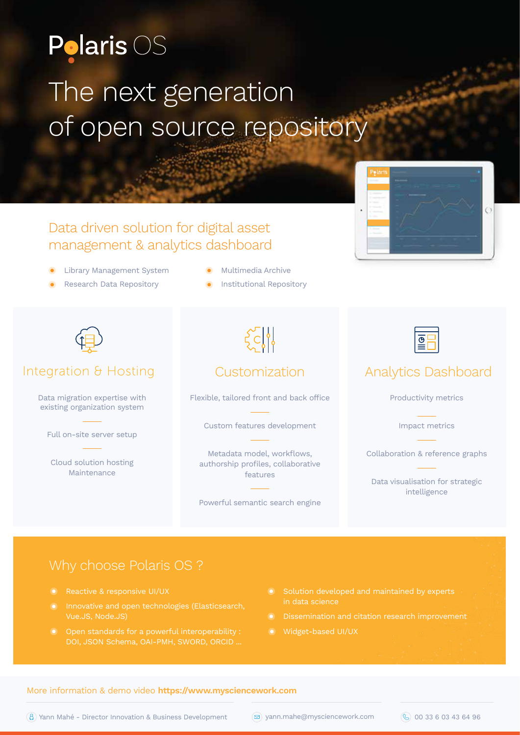# **Polaris OS** The next generation of open source repository

# Data driven solution for digital asset management & analytics dashboard

- Library Management System
- Research Data Repository
- **Multimedia Archive**
- Institutional Repository



### Integration & Hosting

Data migration expertise with existing organization system

Full on-site server setup

Cloud solution hosting Maintenance

 $\zeta$ c/1

### Customization

Flexible, tailored front and back office

Custom features development

Metadata model, workflows, authorship profiles, collaborative features

Powerful semantic search engine





## Analytics Dashboard

Productivity metrics

Impact metrics

Collaboration & reference graphs

Data visualisation for strategic intelligence

- Reactive & responsive UI/UX
- Innovative and open technologies (Elasticsearch, Vue.JS, Node.JS)
- 
- Solution developed and maintained by experts in data science
- 
- Widget-based UI/UX

### More information & demo video **https://www.mysciencework.com**